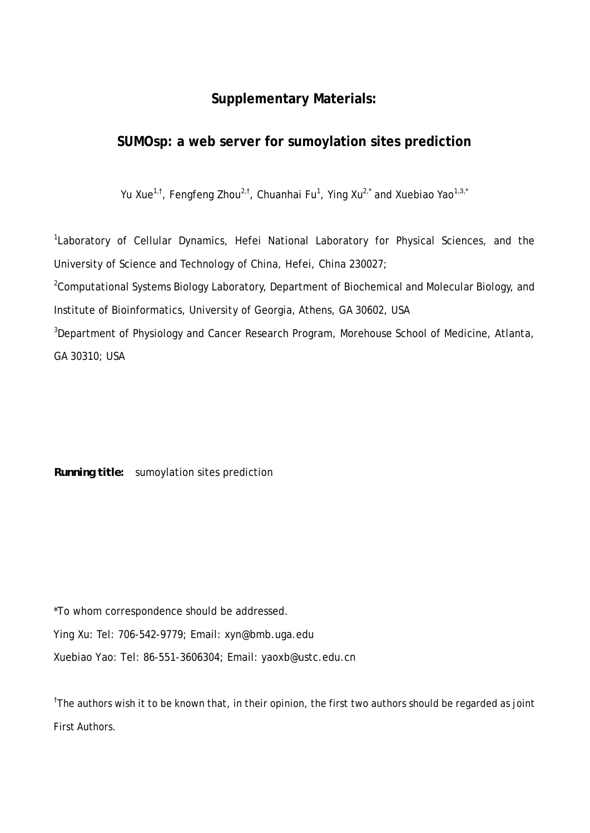## **Supplementary Materials:**

## **SUMOsp: a web server for sumoylation sites prediction**

Yu Xue<sup>1,†</sup>, Fengfeng Zhou<sup>2,†</sup>, Chuanhai Fu<sup>1</sup>, Ying Xu<sup>2,\*</sup> and Xuebiao Yao<sup>1,3,\*</sup>

<sup>1</sup>Laboratory of Cellular Dynamics, Hefei National Laboratory for Physical Sciences, and the University of Science and Technology of China, Hefei, China 230027;

<sup>2</sup>Computational Systems Biology Laboratory, Department of Biochemical and Molecular Biology, and Institute of Bioinformatics, University of Georgia, Athens, GA 30602, USA

<sup>3</sup>Department of Physiology and Cancer Research Program, Morehouse School of Medicine, Atlanta, GA 30310; USA

*Running title***:** sumoylation sites prediction

\*To whom correspondence should be addressed.

Ying Xu: Tel: 706-542-9779; Email: xyn@bmb.uga.edu

Xuebiao Yao: Tel: 86-551-3606304; Email: yaoxb@ustc.edu.cn

<sup>†</sup>The authors wish it to be known that, in their opinion, the first two authors should be regarded as joint First Authors.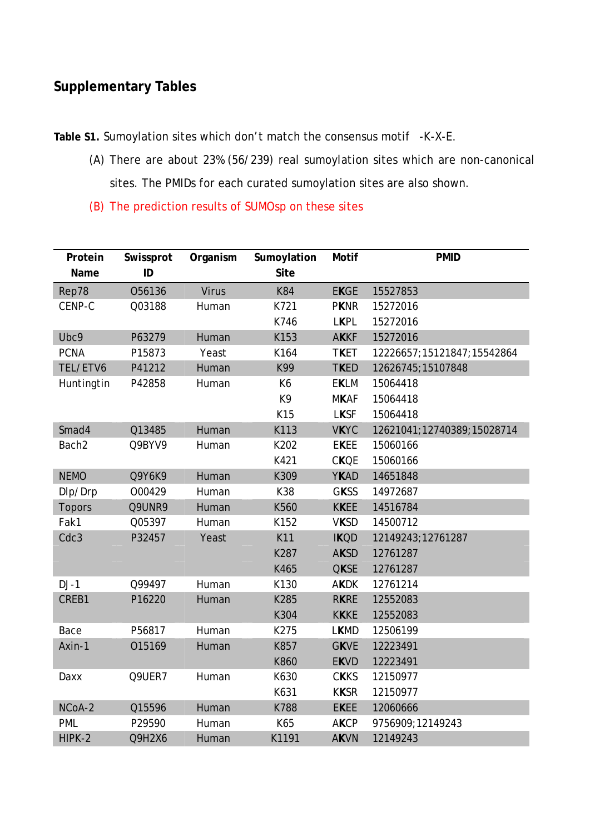## **Supplementary Tables**

**Table S1.** Sumoylation sites which don't match the consensus motif -K-X-E.

- (A) There are about 23% (56/239) real sumoylation sites which are non-canonical sites. The PMIDs for each curated sumoylation sites are also shown.
- (B) The prediction results of SUMOsp on these sites

| Protein<br>Name   | Swissprot<br>ID | Organism     | Sumoylation<br><b>Site</b> | <b>Motif</b> | <b>PMID</b>                |
|-------------------|-----------------|--------------|----------------------------|--------------|----------------------------|
| Rep78             | 056136          | <b>Virus</b> | <b>K84</b>                 | <b>EKGE</b>  | 15527853                   |
| CENP-C            | Q03188          | Human        | K721                       | <b>PKNR</b>  | 15272016                   |
|                   |                 |              | K746                       | <b>LKPL</b>  | 15272016                   |
| Ubc9              | P63279          | Human        | K153                       | <b>AKKF</b>  | 15272016                   |
| <b>PCNA</b>       | P15873          | Yeast        | K164                       | <b>TKET</b>  | 12226657;15121847;15542864 |
| TEL/ETV6          | P41212          | Human        | K99                        | <b>TKED</b>  | 12626745;15107848          |
| Huntingtin        | P42858          | Human        | K6                         | <b>EKLM</b>  | 15064418                   |
|                   |                 |              | K9                         | <b>MKAF</b>  | 15064418                   |
|                   |                 |              | K15                        | <b>LKSF</b>  | 15064418                   |
| Smad4             | Q13485          | Human        | K113                       | <b>VKYC</b>  | 12621041;12740389;15028714 |
| Bach <sub>2</sub> | Q9BYV9          | Human        | K202                       | <b>EKEE</b>  | 15060166                   |
|                   |                 |              | K421                       | <b>CKQE</b>  | 15060166                   |
| <b>NEMO</b>       | Q9Y6K9          | Human        | K309                       | <b>YKAD</b>  | 14651848                   |
| Dlp/Drp           | 000429          | Human        | K38                        | <b>GKSS</b>  | 14972687                   |
| <b>Topors</b>     | Q9UNR9          | Human        | K560                       | <b>KKEE</b>  | 14516784                   |
| Fak1              | Q05397          | Human        | K152                       | <b>VKSD</b>  | 14500712                   |
| Cdc3              | P32457          | Yeast        | K11                        | <b>IKQD</b>  | 12149243;12761287          |
|                   |                 |              | K287                       | <b>AKSD</b>  | 12761287                   |
|                   |                 |              | K465                       | <b>QKSE</b>  | 12761287                   |
| $DJ-1$            | Q99497          | Human        | K130                       | <b>AKDK</b>  | 12761214                   |
| CREB1             | P16220          | Human        | K285                       | <b>RKRE</b>  | 12552083                   |
|                   |                 |              | K304                       | <b>KKKE</b>  | 12552083                   |
| Bace              | P56817          | Human        | K275                       | <b>LKMD</b>  | 12506199                   |
| Axin-1            | 015169          | Human        | K857                       | <b>GKVE</b>  | 12223491                   |
|                   |                 |              | K860                       | <b>EKVD</b>  | 12223491                   |
| Daxx              | Q9UER7          | Human        | K630                       | <b>CKKS</b>  | 12150977                   |
|                   |                 |              | K631                       | <b>KKSR</b>  | 12150977                   |
| NCoA-2            | Q15596          | Human        | K788                       | <b>EKEE</b>  | 12060666                   |
| PML               | P29590          | Human        | K65                        | <b>AKCP</b>  | 9756909;12149243           |
| HIPK-2            | Q9H2X6          | Human        | K1191                      | <b>AKVN</b>  | 12149243                   |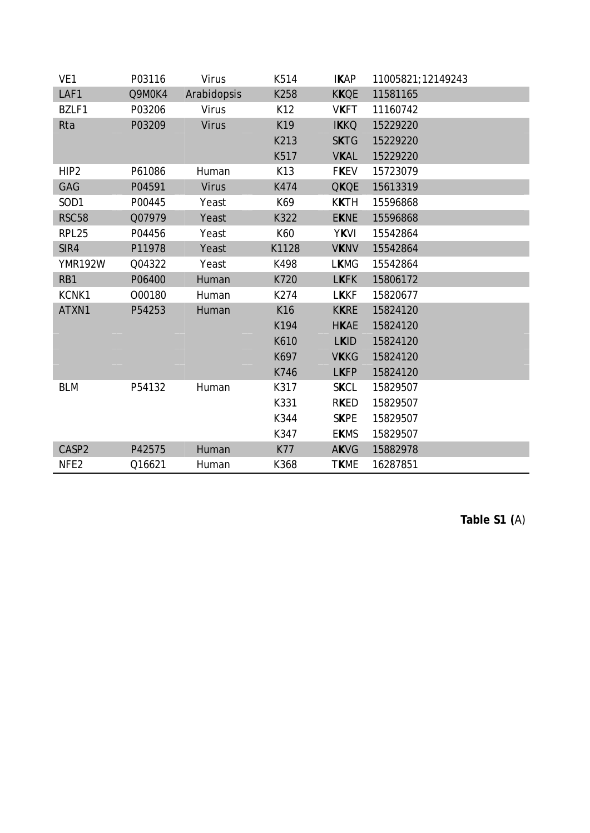| VE1              | P03116 | Virus        | K514       | <b>IKAP</b> | 11005821;12149243 |
|------------------|--------|--------------|------------|-------------|-------------------|
| LAF1             | Q9M0K4 | Arabidopsis  | K258       | <b>KKQE</b> | 11581165          |
| BZLF1            | P03206 | Virus        | K12        | <b>VKFT</b> | 11160742          |
| Rta              | P03209 | <b>Virus</b> | K19        | <b>IKKQ</b> | 15229220          |
|                  |        |              | K213       | <b>SKTG</b> | 15229220          |
|                  |        |              | K517       | <b>VKAL</b> | 15229220          |
| HIP <sub>2</sub> | P61086 | Human        | K13        | <b>FKEV</b> | 15723079          |
| GAG              | P04591 | <b>Virus</b> | K474       | <b>QKQE</b> | 15613319          |
| SOD1             | P00445 | Yeast        | K69        | <b>KKTH</b> | 15596868          |
| <b>RSC58</b>     | Q07979 | Yeast        | K322       | <b>EKNE</b> | 15596868          |
| RPL25            | P04456 | Yeast        | K60        | <b>YKVI</b> | 15542864          |
| SIR4             | P11978 | Yeast        | K1128      | <b>VKNV</b> | 15542864          |
| <b>YMR192W</b>   | Q04322 | Yeast        | K498       | <b>LKMG</b> | 15542864          |
| RB1              | P06400 | Human        | K720       | <b>LKFK</b> | 15806172          |
| KCNK1            | 000180 | Human        | K274       | <b>LKKF</b> | 15820677          |
| ATXN1            | P54253 | Human        | K16        | <b>KKRE</b> | 15824120          |
|                  |        |              | K194       | <b>HKAE</b> | 15824120          |
|                  |        |              | K610       | <b>LKID</b> | 15824120          |
|                  |        |              | K697       | <b>VKKG</b> | 15824120          |
|                  |        |              | K746       | <b>LKFP</b> | 15824120          |
| <b>BLM</b>       | P54132 | Human        | K317       | <b>SKCL</b> | 15829507          |
|                  |        |              | K331       | <b>RKED</b> | 15829507          |
|                  |        |              | K344       | <b>SKPE</b> | 15829507          |
|                  |        |              | K347       | <b>EKMS</b> | 15829507          |
| CASP2            | P42575 | Human        | <b>K77</b> | <b>AKVG</b> | 15882978          |
| NFE <sub>2</sub> | Q16621 | Human        | K368       | <b>TKME</b> | 16287851          |

**Table S1 (**A)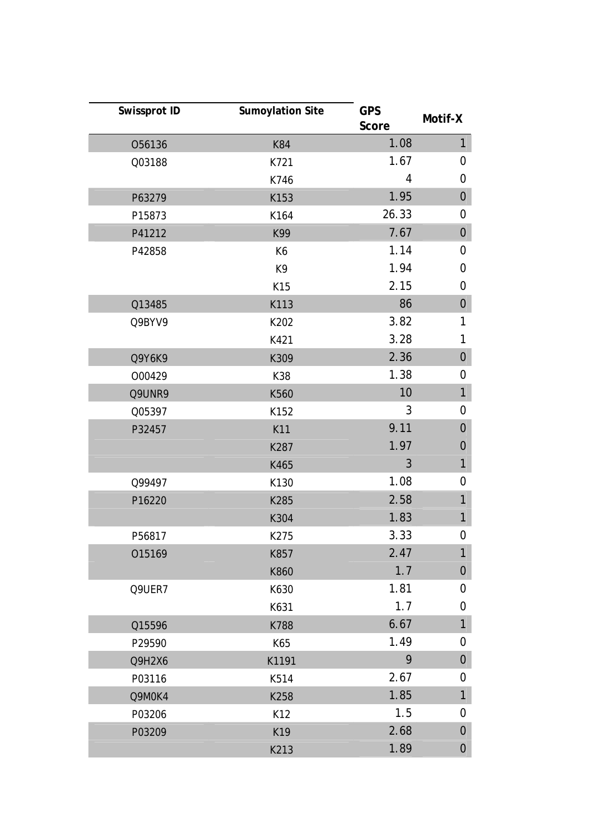| Swissprot ID | <b>Sumoylation Site</b> | <b>GPS</b><br>Score | Motif-X          |
|--------------|-------------------------|---------------------|------------------|
| 056136       | K84                     | 1.08                | $\mathbf{1}$     |
| Q03188       | K721                    | 1.67                | $\mathbf 0$      |
|              | K746                    | 4                   | 0                |
| P63279       | K153                    | 1.95                | $\boldsymbol{0}$ |
| P15873       | K164                    | 26.33               | 0                |
| P41212       | K99                     | 7.67                | $\boldsymbol{0}$ |
| P42858       | K6                      | 1.14                | $\mathbf 0$      |
|              | K9                      | 1.94                | 0                |
|              | K15                     | 2.15                | 0                |
| Q13485       | K113                    | 86                  | $\boldsymbol{0}$ |
| Q9BYV9       | K202                    | 3.82                | 1                |
|              | K421                    | 3.28                | 1                |
| Q9Y6K9       | K309                    | 2.36                | $\boldsymbol{0}$ |
| 000429       | K38                     | 1.38                | $\mathbf 0$      |
| Q9UNR9       | K560                    | 10                  | $\mathbf{1}$     |
| Q05397       | K152                    | 3                   | 0                |
| P32457       | K11                     | 9.11                | $\overline{0}$   |
|              | K287                    | 1.97                | $\mathbf 0$      |
|              | K465                    | 3                   | $\mathbf{1}$     |
| Q99497       | K130                    | 1.08                | 0                |
| P16220       | K285                    | 2.58                | 1                |
|              | K304                    | 1.83                | $\mathbf{1}$     |
| P56817       | K275                    | 3.33                | $\mathbf 0$      |
| 015169       | K857                    | 2.47                | $\mathbf{1}$     |
|              | K860                    | 1.7                 | $\boldsymbol{0}$ |
| Q9UER7       | K630                    | 1.81                | 0                |
|              | K631                    | 1.7                 | 0                |
| Q15596       | K788                    | 6.67                | $\mathbf{1}$     |
| P29590       | K65                     | 1.49                | 0                |
| Q9H2X6       | K1191                   | 9                   | $\boldsymbol{0}$ |
| P03116       | K514                    | 2.67                | 0                |
| Q9M0K4       | K258                    | 1.85                | $\mathbf{1}$     |
| P03206       | K12                     | 1.5                 | 0                |
| P03209       | K19                     | 2.68                | $\mathbf 0$      |
|              | K213                    | 1.89                | $\overline{0}$   |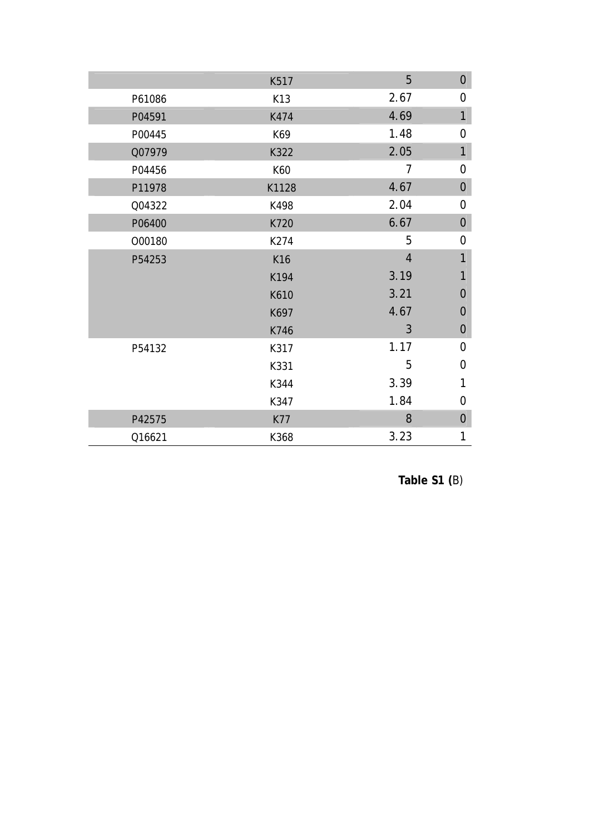|        | K517  | 5              | $\mathbf 0$    |
|--------|-------|----------------|----------------|
| P61086 | K13   | 2.67           | 0              |
| P04591 | K474  | 4.69           | $\mathbf{1}$   |
| P00445 | K69   | 1.48           | $\mathbf 0$    |
| Q07979 | K322  | 2.05           | $\overline{1}$ |
| P04456 | K60   | $\overline{1}$ | $\mathbf 0$    |
| P11978 | K1128 | 4.67           | $\mathbf 0$    |
| Q04322 | K498  | 2.04           | $\overline{0}$ |
| P06400 | K720  | 6.67           | $\mathbf{0}$   |
| 000180 | K274  | 5              | $\mathbf 0$    |
| P54253 | K16   | $\overline{4}$ | $\mathbf{1}$   |
|        | K194  | 3.19           | $\mathbf{1}$   |
|        | K610  | 3.21           | $\mathbf 0$    |
|        | K697  | 4.67           | $\mathbf 0$    |
|        | K746  | 3              | $\mathbf 0$    |
| P54132 | K317  | 1.17           | $\overline{0}$ |
|        | K331  | 5              | $\overline{0}$ |
|        | K344  | 3.39           | 1              |
|        | K347  | 1.84           | 0              |
| P42575 | K77   | 8              | $\mathbf 0$    |
| Q16621 | K368  | 3.23           | 1              |

**Table S1 (**B)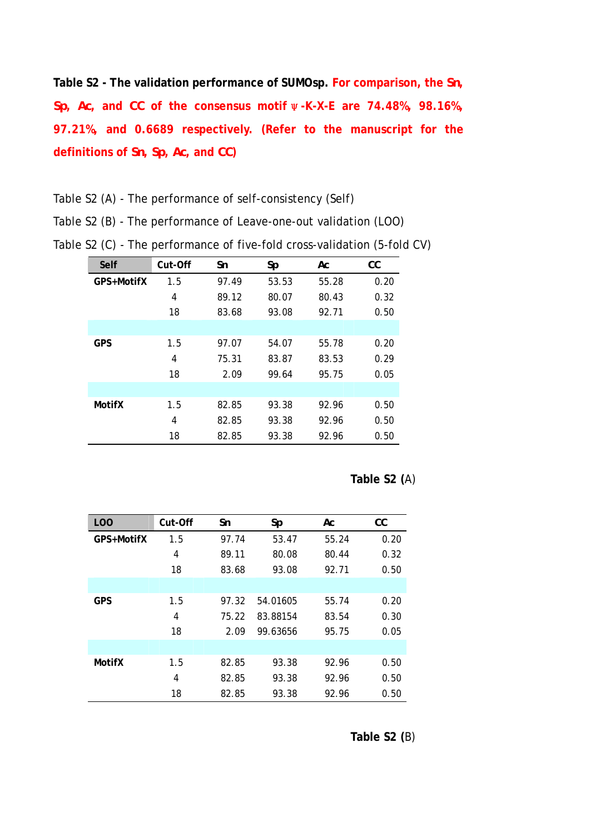**Table S2 - The validation performance of SUMOsp. For comparison, the** *Sn***,**  *Sp***,** *Ac***, and** *CC* **of the consensus motif**ψ**-K-X-E are 74.48%, 98.16%, 97.21%, and 0.6689 respectively. (Refer to the manuscript for the definitions of** *Sn***,** *Sp***,** *Ac***, and** *CC***)**

Table S2 (A) - The performance of self-consistency (Self)

Table S2 (B) - The performance of Leave-one-out validation (LOO)

| Self          | Cut-Off | Sn    | Sp    | Аc    | СC   |
|---------------|---------|-------|-------|-------|------|
| GPS+MotifX    | 1.5     | 97.49 | 53.53 | 55.28 | 0.20 |
|               | 4       | 89.12 | 80.07 | 80.43 | 0.32 |
|               | 18      | 83.68 | 93.08 | 92.71 | 0.50 |
|               |         |       |       |       |      |
| <b>GPS</b>    | 1.5     | 97.07 | 54.07 | 55.78 | 0.20 |
|               | 4       | 75.31 | 83.87 | 83.53 | 0.29 |
|               | 18      | 2.09  | 99.64 | 95.75 | 0.05 |
|               |         |       |       |       |      |
| <b>MotifX</b> | 1.5     | 82.85 | 93.38 | 92.96 | 0.50 |
|               | 4       | 82.85 | 93.38 | 92.96 | 0.50 |
|               | 18      | 82.85 | 93.38 | 92.96 | 0.50 |

Table S2 (C) - The performance of five-fold cross-validation (5-fold CV)

**Table S2 (**A)

| L <sub>O</sub> O | Cut-Off | Sn    | Sp       | Аc    | cc   |
|------------------|---------|-------|----------|-------|------|
| GPS+MotifX       | 1.5     | 97.74 | 53.47    | 55.24 | 0.20 |
|                  | 4       | 89.11 | 80.08    | 80.44 | 0.32 |
|                  | 18      | 83.68 | 93.08    | 92.71 | 0.50 |
|                  |         |       |          |       |      |
| <b>GPS</b>       | 1.5     | 97.32 | 54.01605 | 55.74 | 0.20 |
|                  | 4       | 75.22 | 83.88154 | 83.54 | 0.30 |
|                  | 18      | 2.09  | 99.63656 | 95.75 | 0.05 |
|                  |         |       |          |       |      |
| <b>MotifX</b>    | 1.5     | 82.85 | 93.38    | 92.96 | 0.50 |
|                  | 4       | 82.85 | 93.38    | 92.96 | 0.50 |
|                  | 18      | 82.85 | 93.38    | 92.96 | 0.50 |

**Table S2 (**B)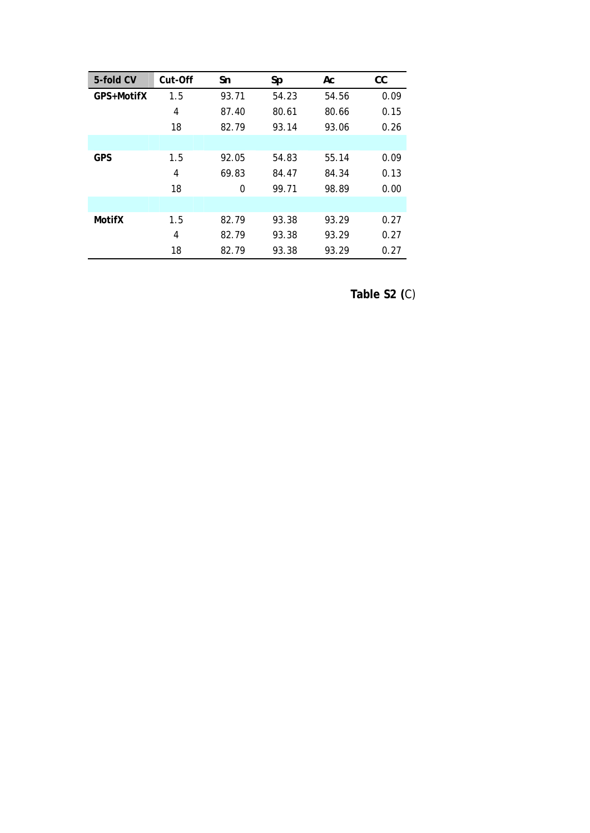| 5-fold CV     | Cut-Off | Sn    | Sp    | Аc    | СC   |
|---------------|---------|-------|-------|-------|------|
| GPS+MotifX    | 1.5     | 93.71 | 54.23 | 54.56 | 0.09 |
|               | 4       | 87.40 | 80.61 | 80.66 | 0.15 |
|               | 18      | 82.79 | 93.14 | 93.06 | 0.26 |
|               |         |       |       |       |      |
| <b>GPS</b>    | 1.5     | 92.05 | 54.83 | 55.14 | 0.09 |
|               | 4       | 69.83 | 84.47 | 84.34 | 0.13 |
|               | 18      | 0     | 99.71 | 98.89 | 0.00 |
|               |         |       |       |       |      |
| <b>MotifX</b> | 1.5     | 82.79 | 93.38 | 93.29 | 0.27 |
|               | 4       | 82.79 | 93.38 | 93.29 | 0.27 |
|               | 18      | 82.79 | 93.38 | 93.29 | 0.27 |

**Table S2 (**C)